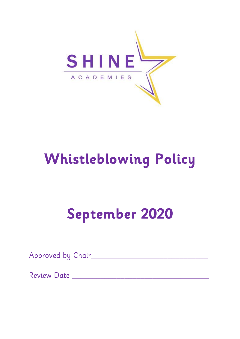

# **Whistleblowing Policy**

## **September 2020**

Approved by Chair\_\_\_\_\_\_\_\_\_\_\_\_\_\_\_\_\_\_\_\_\_\_\_\_\_\_\_\_\_

Review Date \_\_\_\_\_\_\_\_\_\_\_\_\_\_\_\_\_\_\_\_\_\_\_\_\_\_\_\_\_\_\_\_\_\_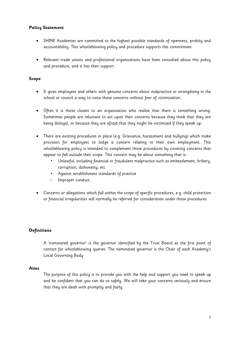## **Policy Statement**

- SHINE Academies are committed to the highest possible standards of openness, probity and accountability. This whistleblowing policy and procedure supports this commitment.
- Relevant trade unions and professional organisations have been consulted about this policy and procedure, and it has their support.

## **Scope**

- It gives employees and others with genuine concerns about malpractice or wrongdoing in the school or council a way to voice those concerns without fear of victimisation.
- Often it is those closest to an organisation who realise that there is something wrong. Sometimes people are reluctant to act upon their concerns because they think that they are being disloyal, or because they are afraid that they might be victimised if they speak up.
- There are existing procedures in place (e.g. Grievance, harassment and bullying) which make provision for employees to lodge a concern relating to their own employment. This whistleblowing policy is intended to complement those procedures by covering concerns that appear to fall outside their scope. This concern may be about something that is:
	- Unlawful, including financial or fraudulent malpractice such as embezzlement, bribery, corruption, dishonesty, etc.
	- Against establishment standards of practice
	- Improper conduct.
- Concerns or allegations which fall within the scope of specific procedures, e.g. child protection or financial irregularities will normally be referred for consideration under those procedures.

## **Definitions**

A 'nominated governor' is the governor identified by the Trust Board as the first point of contact for whistleblowing queries. The nominated governor is the Chair of each Academy's Local Governing Body

#### **Aims**

The purpose of this policy is to provide you with the help and support you need to speak up and be confident that you can do so safely. We will take your concerns seriously and ensure that they are dealt with promptly and fairly.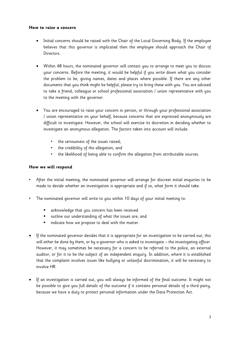## **How to raise a concern**

- Initial concerns should be raised with the Chair of the Local Governing Body. If the employee believes that this governor is implicated then the employee should approach the Chair of Directors.
- Within 48 hours, the nominated governor will contact you to arrange to meet you to discuss your concerns. Before the meeting, it would be helpful if you write down what you consider the problem to be, giving names, dates and places where possible. If there are any other documents that you think might be helpful, please try to bring these with you. You are advised to take a friend, colleague or school professional association / union representative with you to the meeting with the governor.
- You are encouraged to raise your concern in person, or through your professional association / union representative on your behalf, because concerns that are expressed anonymously are difficult to investigate. However, the school will exercise its discretion in deciding whether to investigate an anonymous allegation. The factors taken into account will include:
	- the seriousness of the issues raised;
	- the credibility of the allegation; and
	- the likelihood of being able to confirm the allegation from attributable sources.

## **How we will respond**

- After the initial meeting, the nominated governor will arrange for discreet initial enquiries to be made to decide whether an investigation is appropriate and if so, what form it should take.
- The nominated governor will write to you within 10 days of your initial meeting to:
	- acknowledge that you concern has been received
	- outline our understanding of what the issues are; and
	- indicate how we propose to deal with the matter.
- If the nominated governor decides that it is appropriate for an investigation to be carried out, this will either be done by them, or by a governor who is asked to investigate – the investigating officer. However, it may sometimes be necessary for a concern to be referred to the police, an external auditor, or for it to be the subject of an independent enquiry. In addition, where it is established that the complaint involves issues like bullying or unlawful discrimination, it will be necessary to involve HR.
- If an investigation is carried out, you will always be informed of the final outcome. It might not be possible to give you full details of the outcome if it contains personal details of a third party, because we have a duty to protect personal information under the Data Protection Act.